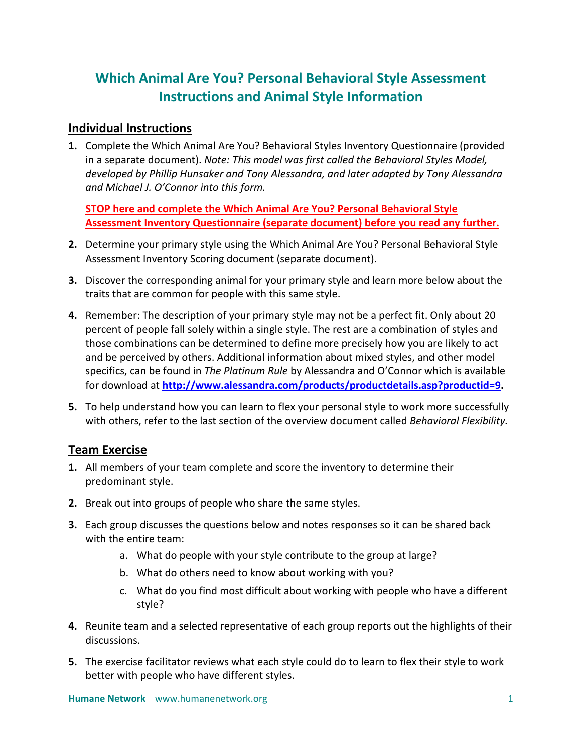# **Which Animal Are You? Personal Behavioral Style Assessment Instructions and Animal Style Information**

## **Individual Instructions**

**1.** Complete the Which Animal Are You? Behavioral Styles Inventory Questionnaire (provided in a separate document). *Note: This model was first called the Behavioral Styles Model, developed by Phillip Hunsaker and Tony Alessandra, and later adapted by Tony Alessandra and Michael J. O'Connor into this form.*

**STOP here and complete the Which Animal Are You? Personal Behavioral Style Assessment Inventory Questionnaire (separate document) before you read any further.**

- **2.** Determine your primary style using the Which Animal Are You? Personal Behavioral Style Assessment Inventory Scoring document (separate document).
- **3.** Discover the corresponding animal for your primary style and learn more below about the traits that are common for people with this same style.
- **4.** Remember: The description of your primary style may not be a perfect fit. Only about 20 percent of people fall solely within a single style. The rest are a combination of styles and those combinations can be determined to define more precisely how you are likely to act and be perceived by others. Additional information about mixed styles, and other model specifics, can be found in *The Platinum Rule* by Alessandra and O'Connor which is available for download at **[http://www.alessandra.com/products/productdetails.asp?productid=9.](http://www.alessandra.com/products/productdetails.asp?productid=9)**
- **5.** To help understand how you can learn to flex your personal style to work more successfully with others, refer to the last section of the overview document called *Behavioral Flexibility.*

## **Team Exercise**

- **1.** All members of your team complete and score the inventory to determine their predominant style.
- **2.** Break out into groups of people who share the same styles.
- **3.** Each group discusses the questions below and notes responses so it can be shared back with the entire team:
	- a. What do people with your style contribute to the group at large?
	- b. What do others need to know about working with you?
	- c. What do you find most difficult about working with people who have a different style?
- **4.** Reunite team and a selected representative of each group reports out the highlights of their discussions.
- **5.** The exercise facilitator reviews what each style could do to learn to flex their style to work better with people who have different styles.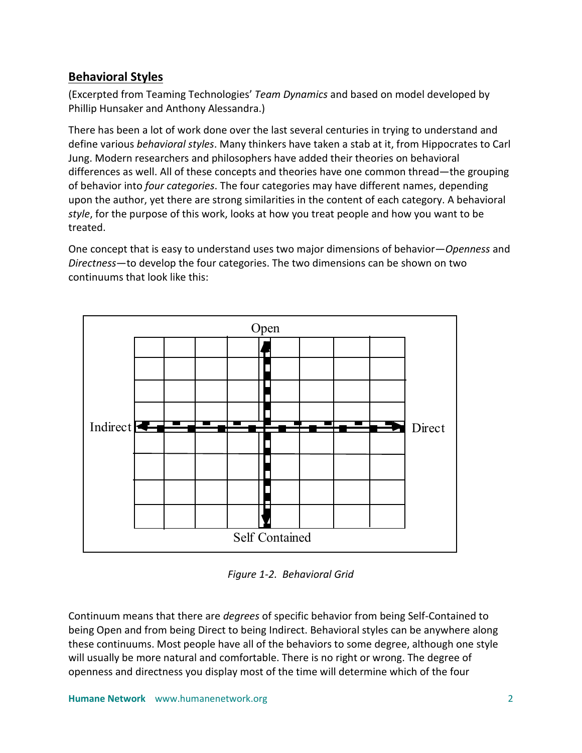# **Behavioral Styles**

(Excerpted from Teaming Technologies' *Team Dynamics* and based on model developed by Phillip Hunsaker and Anthony Alessandra.)

There has been a lot of work done over the last several centuries in trying to understand and define various *behavioral styles*. Many thinkers have taken a stab at it, from Hippocrates to Carl Jung. Modern researchers and philosophers have added their theories on behavioral differences as well. All of these concepts and theories have one common thread—the grouping of behavior into *four categories*. The four categories may have different names, depending upon the author, yet there are strong similarities in the content of each category. A behavioral *style*, for the purpose of this work, looks at how you treat people and how you want to be treated.

One concept that is easy to understand uses two major dimensions of behavior—*Openness* and *Directness*—to develop the four categories. The two dimensions can be shown on two continuums that look like this:



*Figure 1-2. Behavioral Grid*

Continuum means that there are *degrees* of specific behavior from being Self-Contained to being Open and from being Direct to being Indirect. Behavioral styles can be anywhere along these continuums. Most people have all of the behaviors to some degree, although one style will usually be more natural and comfortable. There is no right or wrong. The degree of openness and directness you display most of the time will determine which of the four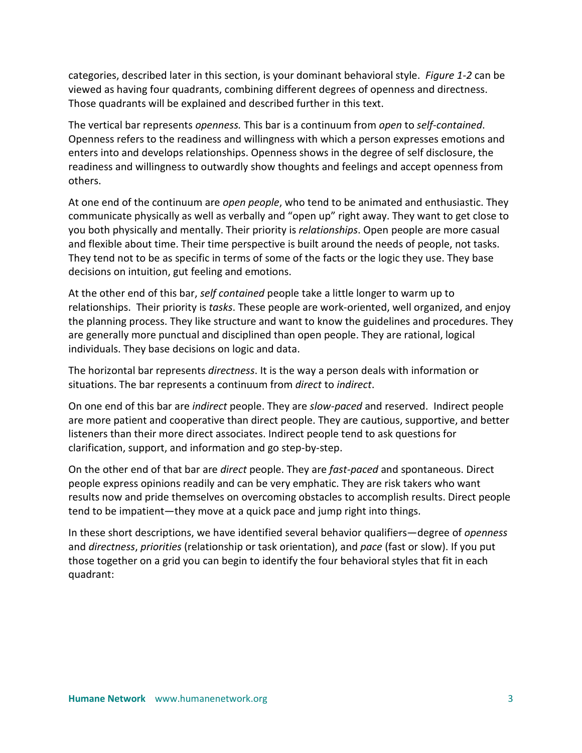categories, described later in this section, is your dominant behavioral style. *Figure 1-2* can be viewed as having four quadrants, combining different degrees of openness and directness. Those quadrants will be explained and described further in this text.

The vertical bar represents *openness.* This bar is a continuum from *open* to *self-contained*. Openness refers to the readiness and willingness with which a person expresses emotions and enters into and develops relationships. Openness shows in the degree of self disclosure, the readiness and willingness to outwardly show thoughts and feelings and accept openness from others.

At one end of the continuum are *open people*, who tend to be animated and enthusiastic. They communicate physically as well as verbally and "open up" right away. They want to get close to you both physically and mentally. Their priority is *relationships*. Open people are more casual and flexible about time. Their time perspective is built around the needs of people, not tasks. They tend not to be as specific in terms of some of the facts or the logic they use. They base decisions on intuition, gut feeling and emotions.

At the other end of this bar, *self contained* people take a little longer to warm up to relationships. Their priority is *tasks*. These people are work-oriented, well organized, and enjoy the planning process. They like structure and want to know the guidelines and procedures. They are generally more punctual and disciplined than open people. They are rational, logical individuals. They base decisions on logic and data.

The horizontal bar represents *directness*. It is the way a person deals with information or situations. The bar represents a continuum from *direct* to *indirect*.

On one end of this bar are *indirect* people. They are *slow-paced* and reserved. Indirect people are more patient and cooperative than direct people. They are cautious, supportive, and better listeners than their more direct associates. Indirect people tend to ask questions for clarification, support, and information and go step-by-step.

On the other end of that bar are *direct* people. They are *fast-paced* and spontaneous. Direct people express opinions readily and can be very emphatic. They are risk takers who want results now and pride themselves on overcoming obstacles to accomplish results. Direct people tend to be impatient—they move at a quick pace and jump right into things.

In these short descriptions, we have identified several behavior qualifiers—degree of *openness* and *directness*, *priorities* (relationship or task orientation), and *pace* (fast or slow). If you put those together on a grid you can begin to identify the four behavioral styles that fit in each quadrant: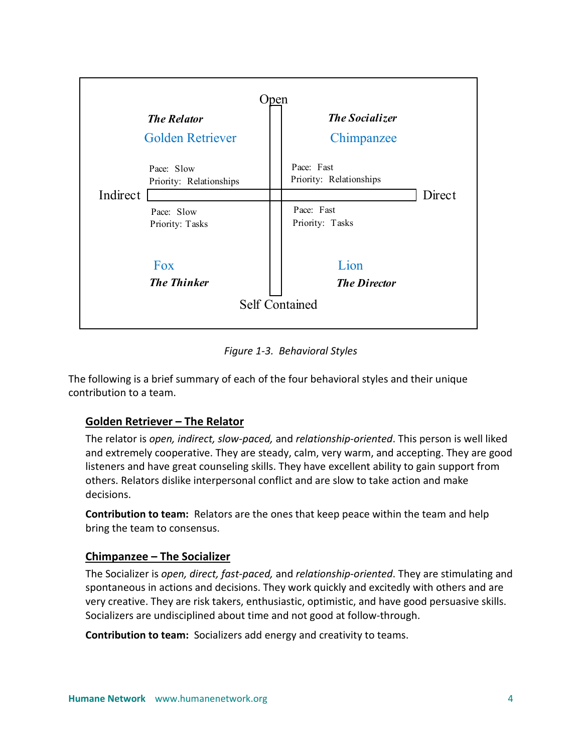

*Figure 1-3. Behavioral Styles*

The following is a brief summary of each of the four behavioral styles and their unique contribution to a team.

#### **Golden Retriever – The Relator**

The relator is *open, indirect, slow-paced,* and *relationship-oriented*. This person is well liked and extremely cooperative. They are steady, calm, very warm, and accepting. They are good listeners and have great counseling skills. They have excellent ability to gain support from others. Relators dislike interpersonal conflict and are slow to take action and make decisions.

**Contribution to team:** Relators are the ones that keep peace within the team and help bring the team to consensus.

#### **Chimpanzee – The Socializer**

The Socializer is *open, direct, fast-paced,* and *relationship-oriented*. They are stimulating and spontaneous in actions and decisions. They work quickly and excitedly with others and are very creative. They are risk takers, enthusiastic, optimistic, and have good persuasive skills. Socializers are undisciplined about time and not good at follow-through.

**Contribution to team:** Socializers add energy and creativity to teams.